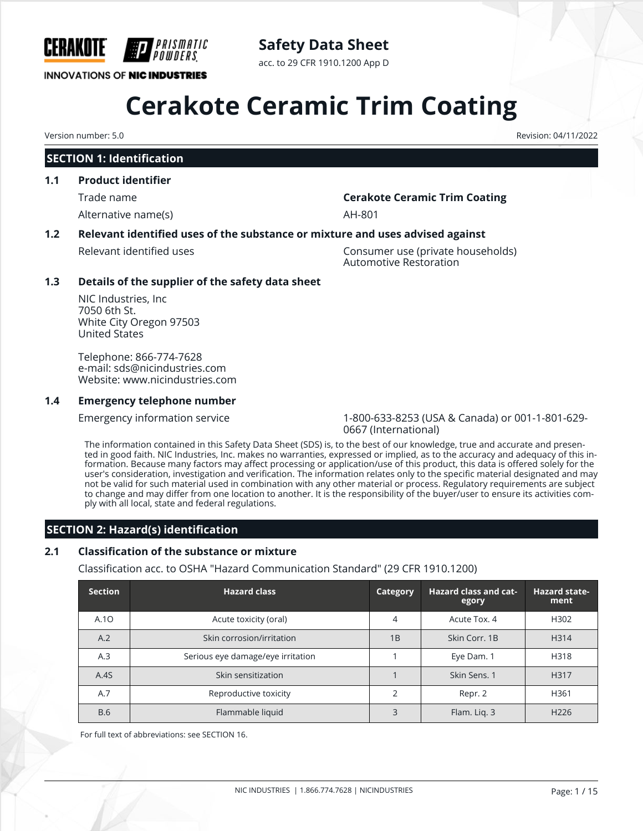

### **Safety Data Sheet**

acc. to 29 CFR 1910.1200 App D

## **Cerakote Ceramic Trim Coating**

#### **SECTION 1: Identification**

#### **1.1 Product identifier**

Alternative name(s) and the state of the AH-801

#### Trade name **Cerakote Ceramic Trim Coating**

#### **1.2 Relevant identified uses of the substance or mixture and uses advised against**

Relevant identified uses Consumer use (private households) Automotive Restoration

#### **1.3 Details of the supplier of the safety data sheet**

NIC Industries, Inc 7050 6th St. White City Oregon 97503 United States

Telephone: 866-774-7628 e-mail: sds@nicindustries.com Website: www.nicindustries.com

#### **1.4 Emergency telephone number**

Emergency information service 1-800-633-8253 (USA & Canada) or 001-1-801-629- 0667 (International)

The information contained in this Safety Data Sheet (SDS) is, to the best of our knowledge, true and accurate and presented in good faith. NIC Industries, Inc. makes no warranties, expressed or implied, as to the accuracy and adequacy of this information. Because many factors may affect processing or application/use of this product, this data is offered solely for the user's consideration, investigation and verification. The information relates only to the specific material designated and may not be valid for such material used in combination with any other material or process. Regulatory requirements are subject to change and may differ from one location to another. It is the responsibility of the buyer/user to ensure its activities comply with all local, state and federal regulations.

#### **SECTION 2: Hazard(s) identification**

### **2.1 Classification of the substance or mixture**

Classification acc. to OSHA "Hazard Communication Standard" (29 CFR 1910.1200)

| <b>Section</b> | <b>Hazard class</b>               |    | <b>Hazard class and cat-</b><br>egory | <b>Hazard state-</b><br>ment |
|----------------|-----------------------------------|----|---------------------------------------|------------------------------|
| A.1O           | Acute toxicity (oral)             |    | Acute Tox, 4                          | H <sub>302</sub>             |
| A.2            | Skin corrosion/irritation         | 1B | Skin Corr, 1B                         | H314                         |
| A.3            | Serious eye damage/eye irritation |    | Eye Dam. 1                            | H318                         |
| A.4S           | Skin sensitization                |    | Skin Sens. 1                          | H317                         |
| A.7            | Reproductive toxicity             |    | Repr. 2                               | H361                         |
| <b>B.6</b>     | Flammable liquid                  | 3  | Flam. Lig. 3                          | H <sub>226</sub>             |

For full text of abbreviations: see SECTION 16.

Version number: 5.0 Revision: 04/11/2022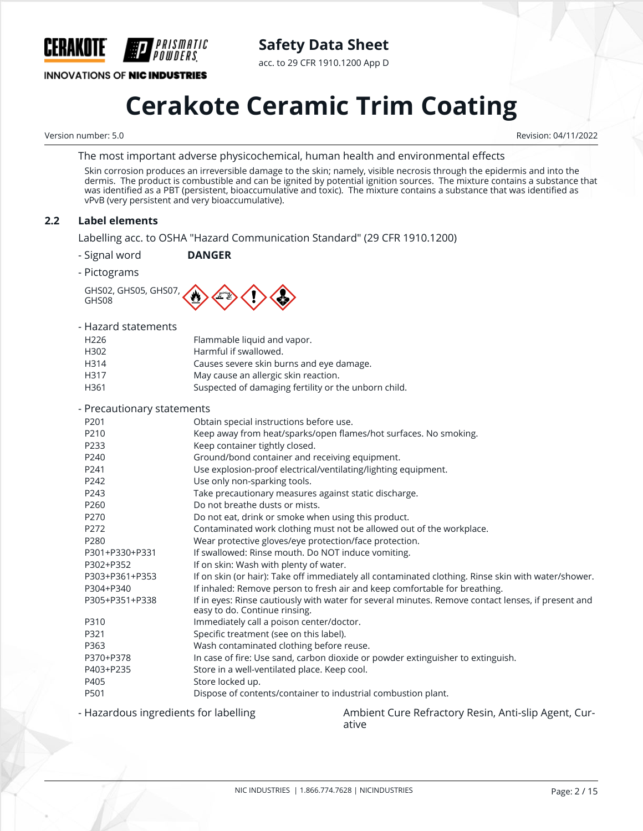

**Safety Data Sheet**

acc. to 29 CFR 1910.1200 App D

## **Cerakote Ceramic Trim Coating**

Version number: 5.0 Revision: 04/11/2022

The most important adverse physicochemical, human health and environmental effects

Skin corrosion produces an irreversible damage to the skin; namely, visible necrosis through the epidermis and into the dermis. The product is combustible and can be ignited by potential ignition sources. The mixture contains a substance that was identified as a PBT (persistent, bioaccumulative and toxic). The mixture contains a substance that was identified as vPvB (very persistent and very bioaccumulative).

#### **2.2 Label elements**

Labelling acc. to OSHA "Hazard Communication Standard" (29 CFR 1910.1200)

- Signal word **DANGER**
- Pictograms

GHS02, GHS05, GHS07, GHS08



#### - Hazard statements

| H <sub>226</sub> | Flammable liquid and vapor.                          |
|------------------|------------------------------------------------------|
| H302             | Harmful if swallowed.                                |
| H314             | Causes severe skin burns and eye damage.             |
| H317             | May cause an allergic skin reaction.                 |
| H361             | Suspected of damaging fertility or the unborn child. |

| - Precautionary statements |                                                                                                                                     |
|----------------------------|-------------------------------------------------------------------------------------------------------------------------------------|
| P <sub>201</sub>           | Obtain special instructions before use.                                                                                             |
| P210                       | Keep away from heat/sparks/open flames/hot surfaces. No smoking.                                                                    |
| P233                       | Keep container tightly closed.                                                                                                      |
| P240                       | Ground/bond container and receiving equipment.                                                                                      |
| P241                       | Use explosion-proof electrical/ventilating/lighting equipment.                                                                      |
| P242                       | Use only non-sparking tools.                                                                                                        |
| P243                       | Take precautionary measures against static discharge.                                                                               |
| P260                       | Do not breathe dusts or mists.                                                                                                      |
| P270                       | Do not eat, drink or smoke when using this product.                                                                                 |
| P272                       | Contaminated work clothing must not be allowed out of the workplace.                                                                |
| P280                       | Wear protective gloves/eye protection/face protection.                                                                              |
| P301+P330+P331             | If swallowed: Rinse mouth. Do NOT induce vomiting.                                                                                  |
| P302+P352                  | If on skin: Wash with plenty of water.                                                                                              |
| P303+P361+P353             | If on skin (or hair): Take off immediately all contaminated clothing. Rinse skin with water/shower.                                 |
| P304+P340                  | If inhaled: Remove person to fresh air and keep comfortable for breathing.                                                          |
| P305+P351+P338             | If in eyes: Rinse cautiously with water for several minutes. Remove contact lenses, if present and<br>easy to do. Continue rinsing. |
| P310                       | Immediately call a poison center/doctor.                                                                                            |
| P321                       | Specific treatment (see on this label).                                                                                             |
| P363                       | Wash contaminated clothing before reuse.                                                                                            |
| P370+P378                  | In case of fire: Use sand, carbon dioxide or powder extinguisher to extinguish.                                                     |
| P403+P235                  | Store in a well-ventilated place. Keep cool.                                                                                        |
| P405                       | Store locked up.                                                                                                                    |
| P501                       | Dispose of contents/container to industrial combustion plant.                                                                       |
|                            | $\sim$ $\sim$ $\sim$ $\sim$ $\sim$ $\sim$                                                                                           |

- Hazardous ingredients for labelling Ambient Cure Refractory Resin, Anti-slip Agent, Curative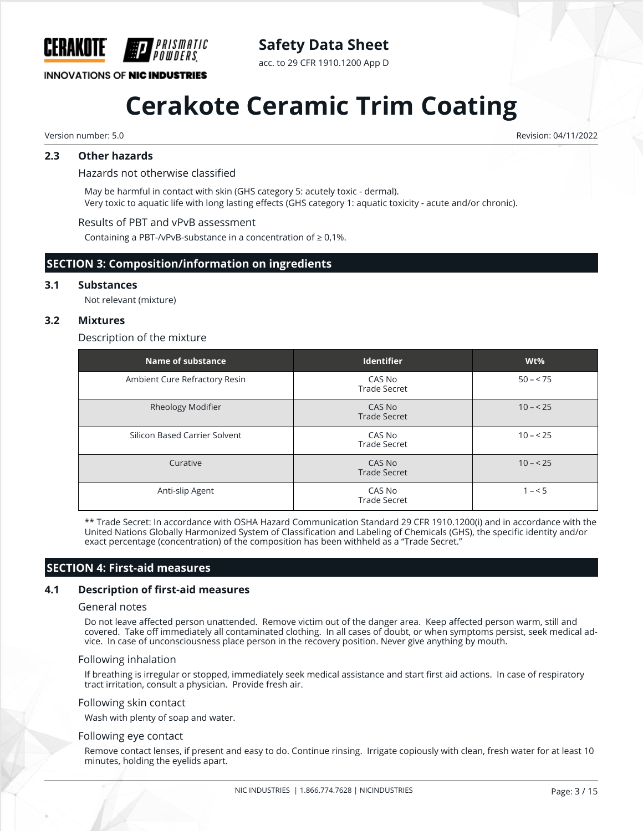

### **Safety Data Sheet**

acc. to 29 CFR 1910.1200 App D

### **Cerakote Ceramic Trim Coating**

Version number: 5.0 Revision: 04/11/2022

#### **2.3 Other hazards**

Hazards not otherwise classified

May be harmful in contact with skin (GHS category 5: acutely toxic - dermal). Very toxic to aquatic life with long lasting effects (GHS category 1: aquatic toxicity - acute and/or chronic).

#### Results of PBT and vPvB assessment

Containing a PBT-/vPvB-substance in a concentration of  $\geq 0.1\%$ .

#### **SECTION 3: Composition/information on ingredients**

#### **3.1 Substances**

Not relevant (mixture)

#### **3.2 Mixtures**

#### Description of the mixture

| Name of substance             | <b>Identifier</b>             | $Wt\%$    |
|-------------------------------|-------------------------------|-----------|
| Ambient Cure Refractory Resin | CAS No<br><b>Trade Secret</b> | $50 - 75$ |
| Rheology Modifier             | CAS No<br><b>Trade Secret</b> | $10 - 25$ |
| Silicon Based Carrier Solvent | CAS No<br><b>Trade Secret</b> | $10 - 25$ |
| Curative                      | CAS No<br><b>Trade Secret</b> | $10 - 25$ |
| Anti-slip Agent               | CAS No<br><b>Trade Secret</b> | $1 - 5$   |

\*\* Trade Secret: In accordance with OSHA Hazard Communication Standard 29 CFR 1910.1200(i) and in accordance with the United Nations Globally Harmonized System of Classification and Labeling of Chemicals (GHS), the specific identity and/or exact percentage (concentration) of the composition has been withheld as a "Trade Secret."

#### **SECTION 4: First-aid measures**

#### **4.1 Description of first-aid measures**

#### General notes

Do not leave affected person unattended. Remove victim out of the danger area. Keep affected person warm, still and covered. Take off immediately all contaminated clothing. In all cases of doubt, or when symptoms persist, seek medical advice. In case of unconsciousness place person in the recovery position. Never give anything by mouth.

#### Following inhalation

If breathing is irregular or stopped, immediately seek medical assistance and start first aid actions. In case of respiratory tract irritation, consult a physician. Provide fresh air.

#### Following skin contact

Wash with plenty of soap and water.

#### Following eye contact

Remove contact lenses, if present and easy to do. Continue rinsing. Irrigate copiously with clean, fresh water for at least 10 minutes, holding the eyelids apart.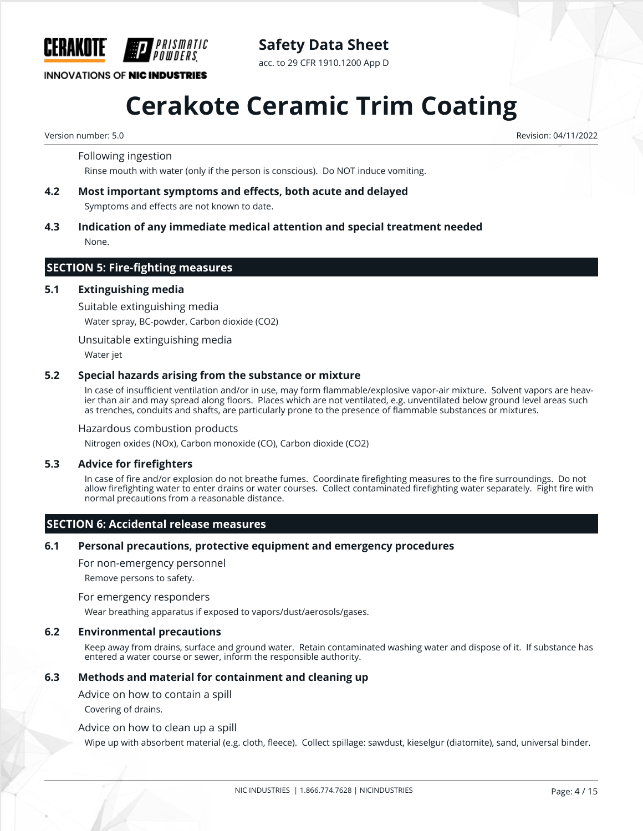

### **Safety Data Sheet**

acc. to 29 CFR 1910.1200 App D

## **Cerakote Ceramic Trim Coating**

Version number: 5.0 Revision: 04/11/2022

Following ingestion

Rinse mouth with water (only if the person is conscious). Do NOT induce vomiting.

- **4.2 Most important symptoms and effects, both acute and delayed** Symptoms and effects are not known to date.
- **4.3 Indication of any immediate medical attention and special treatment needed** None.

#### **SECTION 5: Fire-fighting measures**

#### **5.1 Extinguishing media**

Suitable extinguishing media

Water spray, BC-powder, Carbon dioxide (CO2)

Unsuitable extinguishing media

Water jet

#### **5.2 Special hazards arising from the substance or mixture**

In case of insufficient ventilation and/or in use, may form flammable/explosive vapor-air mixture. Solvent vapors are heavier than air and may spread along floors. Places which are not ventilated, e.g. unventilated below ground level areas such as trenches, conduits and shafts, are particularly prone to the presence of flammable substances or mixtures.

#### Hazardous combustion products

Nitrogen oxides (NOx), Carbon monoxide (CO), Carbon dioxide (CO2)

#### **5.3 Advice for firefighters**

In case of fire and/or explosion do not breathe fumes. Coordinate firefighting measures to the fire surroundings. Do not allow firefighting water to enter drains or water courses. Collect contaminated firefighting water separately. Fight fire with normal precautions from a reasonable distance.

#### **SECTION 6: Accidental release measures**

#### **6.1 Personal precautions, protective equipment and emergency procedures**

For non-emergency personnel

Remove persons to safety.

#### For emergency responders

Wear breathing apparatus if exposed to vapors/dust/aerosols/gases.

#### **6.2 Environmental precautions**

Keep away from drains, surface and ground water. Retain contaminated washing water and dispose of it. If substance has entered a water course or sewer, inform the responsible authority.

#### **6.3 Methods and material for containment and cleaning up**

Advice on how to contain a spill

Covering of drains.

#### Advice on how to clean up a spill

Wipe up with absorbent material (e.g. cloth, fleece). Collect spillage: sawdust, kieselgur (diatomite), sand, universal binder.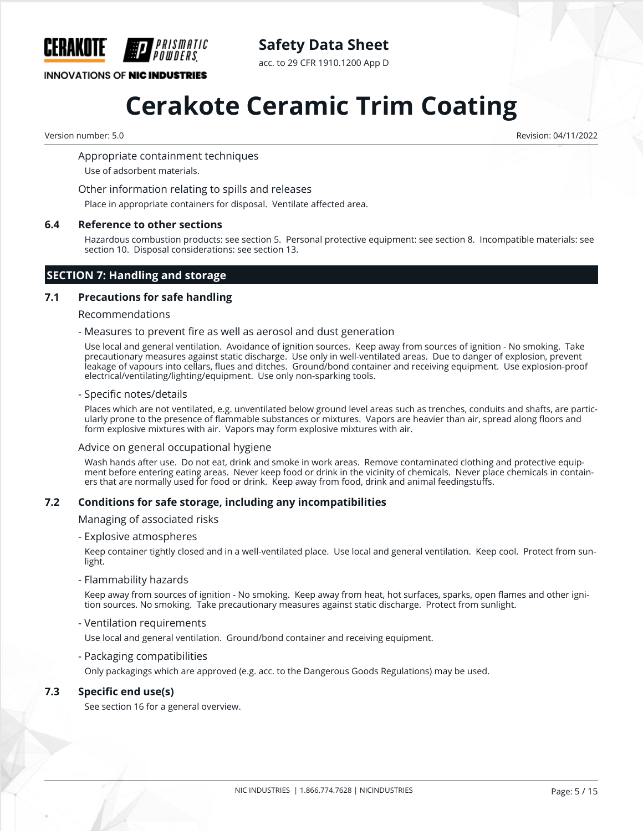

**Safety Data Sheet**

acc. to 29 CFR 1910.1200 App D

## **Cerakote Ceramic Trim Coating**

Version number: 5.0 Revision: 04/11/2022

Appropriate containment techniques

Use of adsorbent materials.

Other information relating to spills and releases

Place in appropriate containers for disposal. Ventilate affected area.

#### **6.4 Reference to other sections**

Hazardous combustion products: see section 5. Personal protective equipment: see section 8. Incompatible materials: see section 10. Disposal considerations: see section 13.

#### **SECTION 7: Handling and storage**

#### **7.1 Precautions for safe handling**

#### Recommendations

- Measures to prevent fire as well as aerosol and dust generation

Use local and general ventilation. Avoidance of ignition sources. Keep away from sources of ignition - No smoking. Take precautionary measures against static discharge. Use only in well-ventilated areas. Due to danger of explosion, prevent leakage of vapours into cellars, flues and ditches. Ground/bond container and receiving equipment. Use explosion-proof electrical/ventilating/lighting/equipment. Use only non-sparking tools.

#### - Specific notes/details

Places which are not ventilated, e.g. unventilated below ground level areas such as trenches, conduits and shafts, are particularly prone to the presence of flammable substances or mixtures. Vapors are heavier than air, spread along floors and form explosive mixtures with air. Vapors may form explosive mixtures with air.

#### Advice on general occupational hygiene

Wash hands after use. Do not eat, drink and smoke in work areas. Remove contaminated clothing and protective equipment before entering eating areas. Never keep food or drink in the vicinity of chemicals. Never place chemicals in containers that are normally used for food or drink. Keep away from food, drink and animal feedingstuffs.

#### **7.2 Conditions for safe storage, including any incompatibilities**

Managing of associated risks

- Explosive atmospheres

Keep container tightly closed and in a well-ventilated place. Use local and general ventilation. Keep cool. Protect from sunlight.

- Flammability hazards

Keep away from sources of ignition - No smoking. Keep away from heat, hot surfaces, sparks, open flames and other ignition sources. No smoking. Take precautionary measures against static discharge. Protect from sunlight.

- Ventilation requirements

Use local and general ventilation. Ground/bond container and receiving equipment.

- Packaging compatibilities

Only packagings which are approved (e.g. acc. to the Dangerous Goods Regulations) may be used.

#### **7.3 Specific end use(s)**

See section 16 for a general overview.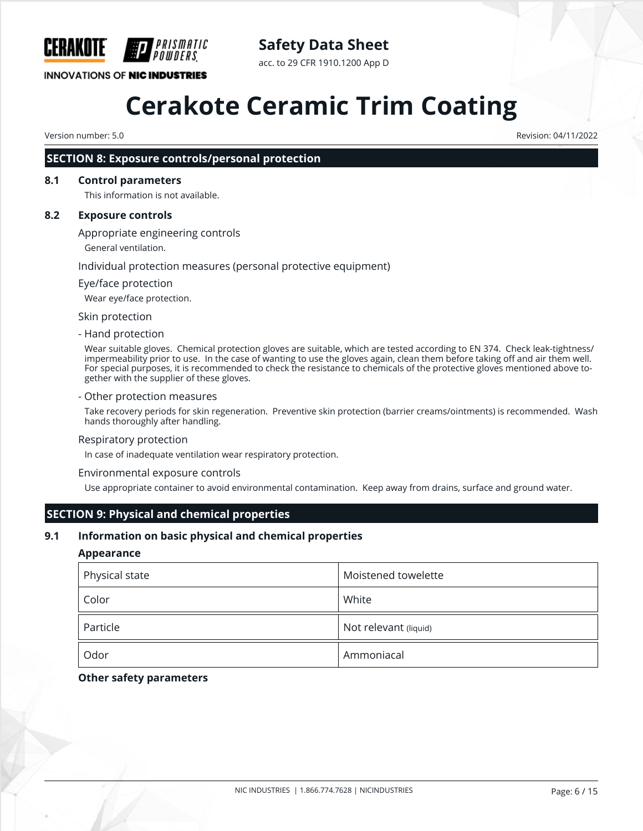

### **Safety Data Sheet**

acc. to 29 CFR 1910.1200 App D

## **Cerakote Ceramic Trim Coating**

Version number: 5.0 Revision: 04/11/2022

#### **SECTION 8: Exposure controls/personal protection**

#### **8.1 Control parameters**

This information is not available.

#### **8.2 Exposure controls**

Appropriate engineering controls

General ventilation.

#### Individual protection measures (personal protective equipment)

#### Eye/face protection

Wear eye/face protection.

Skin protection

#### - Hand protection

Wear suitable gloves. Chemical protection gloves are suitable, which are tested according to EN 374. Check leak-tightness/ impermeability prior to use. In the case of wanting to use the gloves again, clean them before taking off and air them well. For special purposes, it is recommended to check the resistance to chemicals of the protective gloves mentioned above together with the supplier of these gloves.

#### - Other protection measures

Take recovery periods for skin regeneration. Preventive skin protection (barrier creams/ointments) is recommended. Wash hands thoroughly after handling.

#### Respiratory protection

In case of inadequate ventilation wear respiratory protection.

#### Environmental exposure controls

Use appropriate container to avoid environmental contamination. Keep away from drains, surface and ground water.

#### **SECTION 9: Physical and chemical properties**

#### **9.1 Information on basic physical and chemical properties**

#### **Appearance**

| Physical state | Moistened towelette   |
|----------------|-----------------------|
| Color          | White                 |
| Particle       | Not relevant (liquid) |
| Odor           | Ammoniacal            |

#### **Other safety parameters**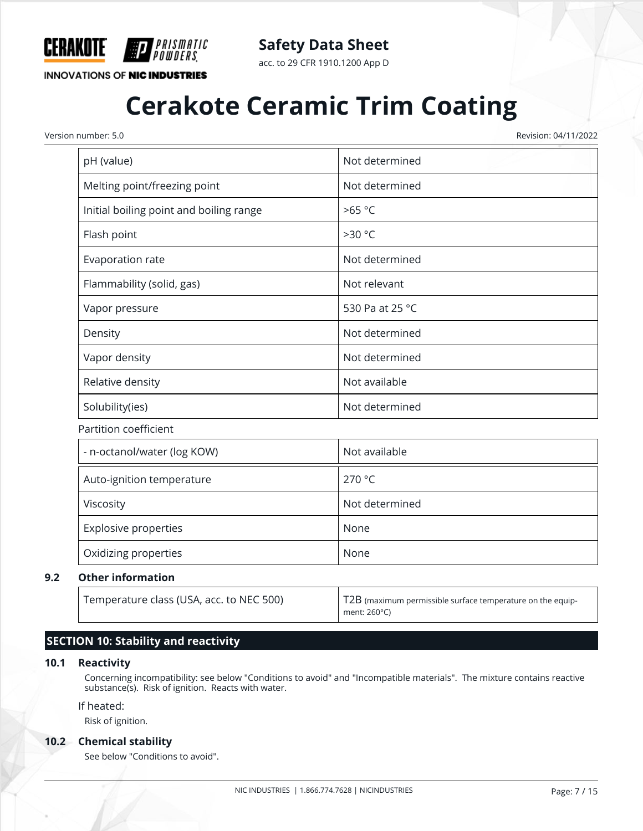

*PRISMATIC<br>Powders* 

**Safety Data Sheet**

acc. to 29 CFR 1910.1200 App D

## **Cerakote Ceramic Trim Coating**

Version number: 5.0 Revision: 04/11/2022

| pH (value)                              | Not determined  |
|-----------------------------------------|-----------------|
| Melting point/freezing point            | Not determined  |
| Initial boiling point and boiling range | >65 °C          |
| Flash point                             | >30 °C          |
| Evaporation rate                        | Not determined  |
| Flammability (solid, gas)               | Not relevant    |
| Vapor pressure                          | 530 Pa at 25 °C |
| Density                                 | Not determined  |
| Vapor density                           | Not determined  |
| Relative density                        | Not available   |
| Solubility(ies)                         | Not determined  |
| Partition coefficient                   |                 |
| - n-octanol/water (log KOW)             | Not available   |
| Auto-ignition temperature               | 270 °C          |
| Viscosity                               | Not determined  |
| Explosive properties                    | None            |
| Oxidizing properties                    | None            |

#### **9.2 Other information**

| Temperature class (USA, acc. to NEC 500) | T2B (maximum permissible surface temperature on the equip-<br>ment: 260°C) |
|------------------------------------------|----------------------------------------------------------------------------|

#### **SECTION 10: Stability and reactivity**

#### **10.1 Reactivity**

Concerning incompatibility: see below "Conditions to avoid" and "Incompatible materials". The mixture contains reactive substance(s). Risk of ignition. Reacts with water.

#### If heated:

Risk of ignition.

#### **10.2 Chemical stability**

See below "Conditions to avoid".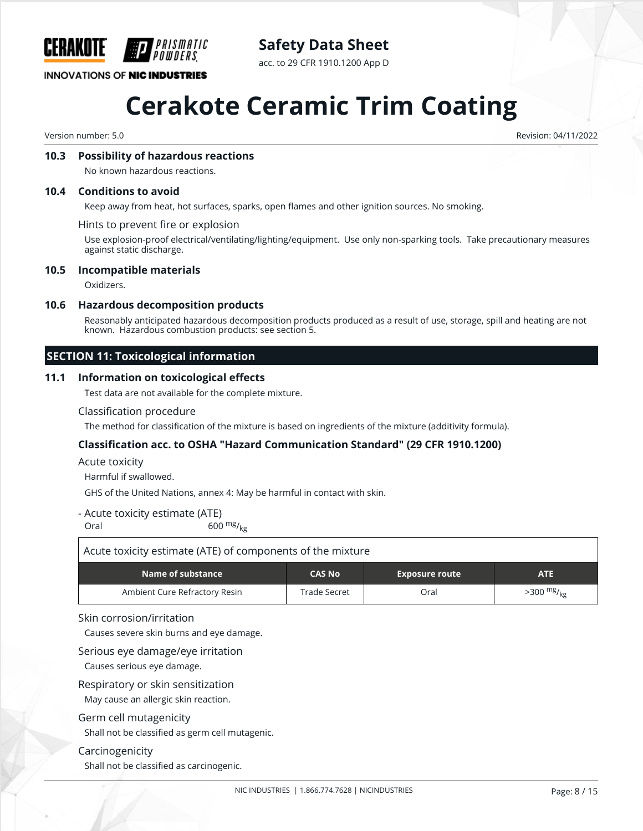

### **Safety Data Sheet**

acc. to 29 CFR 1910.1200 App D

## **Cerakote Ceramic Trim Coating**

Version number: 5.0 Revision: 04/11/2022

#### **10.3 Possibility of hazardous reactions**

No known hazardous reactions.

#### **10.4 Conditions to avoid**

Keep away from heat, hot surfaces, sparks, open flames and other ignition sources. No smoking.

Hints to prevent fire or explosion

Use explosion-proof electrical/ventilating/lighting/equipment. Use only non-sparking tools. Take precautionary measures against static discharge.

#### **10.5 Incompatible materials**

Oxidizers.

#### **10.6 Hazardous decomposition products**

Reasonably anticipated hazardous decomposition products produced as a result of use, storage, spill and heating are not known. Hazardous combustion products: see section 5.

#### **SECTION 11: Toxicological information**

#### **11.1 Information on toxicological effects**

Test data are not available for the complete mixture.

#### Classification procedure

The method for classification of the mixture is based on ingredients of the mixture (additivity formula).

#### **Classification acc. to OSHA "Hazard Communication Standard" (29 CFR 1910.1200)**

Acute toxicity

Harmful if swallowed.

GHS of the United Nations, annex 4: May be harmful in contact with skin.

- Acute toxicity estimate (ATE)

Oral 600  $\frac{mg}{kg}$ 

| Acute toxicity estimate (ATE) of components of the mixture                |              |      |                          |  |  |  |
|---------------------------------------------------------------------------|--------------|------|--------------------------|--|--|--|
| Name of substance<br><b>CAS No</b><br><b>ATE</b><br><b>Exposure route</b> |              |      |                          |  |  |  |
| Ambient Cure Refractory Resin                                             | Trade Secret | Oral | $>300$ mg/ <sub>kg</sub> |  |  |  |

#### Skin corrosion/irritation

Causes severe skin burns and eye damage.

#### Serious eye damage/eye irritation

Causes serious eye damage.

#### Respiratory or skin sensitization

May cause an allergic skin reaction.

#### Germ cell mutagenicity

Shall not be classified as germ cell mutagenic.

#### Carcinogenicity

Shall not be classified as carcinogenic.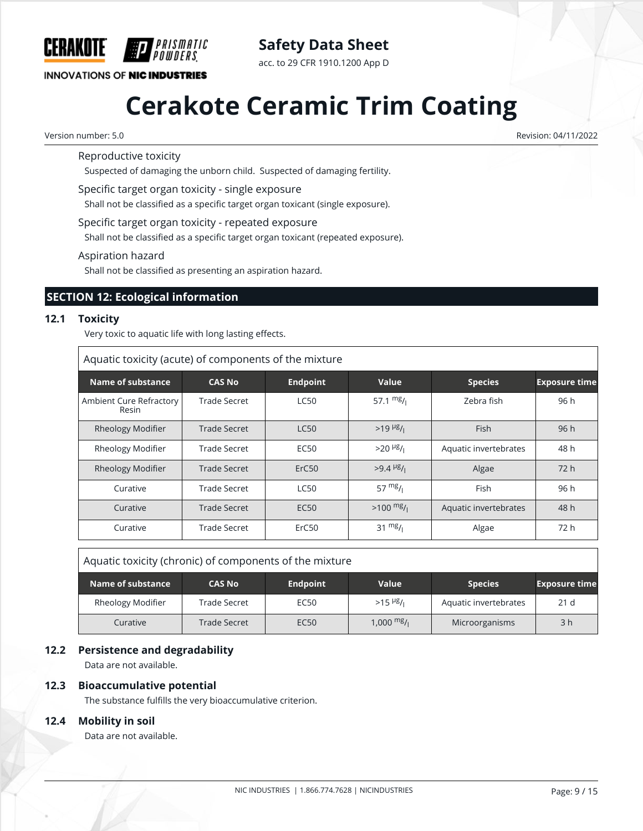

**Safety Data Sheet**

acc. to 29 CFR 1910.1200 App D

## **Cerakote Ceramic Trim Coating**

Version number: 5.0 Revision: 04/11/2022

Reproductive toxicity

Suspected of damaging the unborn child. Suspected of damaging fertility.

Specific target organ toxicity - single exposure

PRISMATIC

Shall not be classified as a specific target organ toxicant (single exposure).

Specific target organ toxicity - repeated exposure

Shall not be classified as a specific target organ toxicant (repeated exposure).

Aspiration hazard

Shall not be classified as presenting an aspiration hazard.

#### **SECTION 12: Ecological information**

#### **12.1 Toxicity**

 $\Gamma$ 

Very toxic to aquatic life with long lasting effects.

| Aquatic toxicity (acute) of components of the mixture |                     |                   |                                     |                       |                      |  |  |
|-------------------------------------------------------|---------------------|-------------------|-------------------------------------|-----------------------|----------------------|--|--|
| <b>Name of substance</b>                              | <b>CAS No</b>       | <b>Endpoint</b>   | Value                               | <b>Species</b>        | <b>Exposure time</b> |  |  |
| Ambient Cure Refractory<br>Resin                      | Trade Secret        | <b>LC50</b>       | 57.1 $mg/1$                         | Zebra fish            | 96 h                 |  |  |
| <b>Rheology Modifier</b>                              | Trade Secret        | <b>LC50</b>       | $>19$ <sup>µg</sup> / <sub>1</sub>  | <b>Fish</b>           | 96 h                 |  |  |
| Rheology Modifier                                     | <b>Trade Secret</b> | <b>EC50</b>       | $>20$ <sup>µg</sup> / <sub>1</sub>  | Aquatic invertebrates | 48 h                 |  |  |
| Rheology Modifier                                     | Trade Secret        | ErC <sub>50</sub> | $>9.4$ <sup>µg</sup> / <sub>1</sub> | Algae                 | 72 h                 |  |  |
| Curative                                              | Trade Secret        | <b>LC50</b>       | $57 \frac{mg}{l}$                   | Fish                  | 96 h                 |  |  |
| Curative                                              | Trade Secret        | <b>EC50</b>       | $>100$ mg/                          | Aquatic invertebrates | 48 h                 |  |  |
| Curative                                              | <b>Trade Secret</b> | ErC50             | $31 \frac{mg}{l}$                   | Algae                 | 72 h                 |  |  |

Aquatic toxicity (chronic) of components of the mixture

| Name of substance | <b>CAS No</b>       | <b>Endpoint</b>  | <b>Value</b>                       | <b>Species</b>        | <b>Exposure time</b> |
|-------------------|---------------------|------------------|------------------------------------|-----------------------|----------------------|
| Rheology Modifier | Trade Secret        | <b>EC50</b>      | $>15$ <sup>µg</sup> / <sub>i</sub> | Aquatic invertebrates | 21 <sub>d</sub>      |
| Curative          | <b>Trade Secret</b> | EC <sub>50</sub> | 1,000 <sup>mg</sup> /ı             | Microorganisms        | 3 <sub>h</sub>       |

#### **12.2 Persistence and degradability**

Data are not available.

#### **12.3 Bioaccumulative potential**

The substance fulfills the very bioaccumulative criterion.

#### **12.4 Mobility in soil**

Data are not available.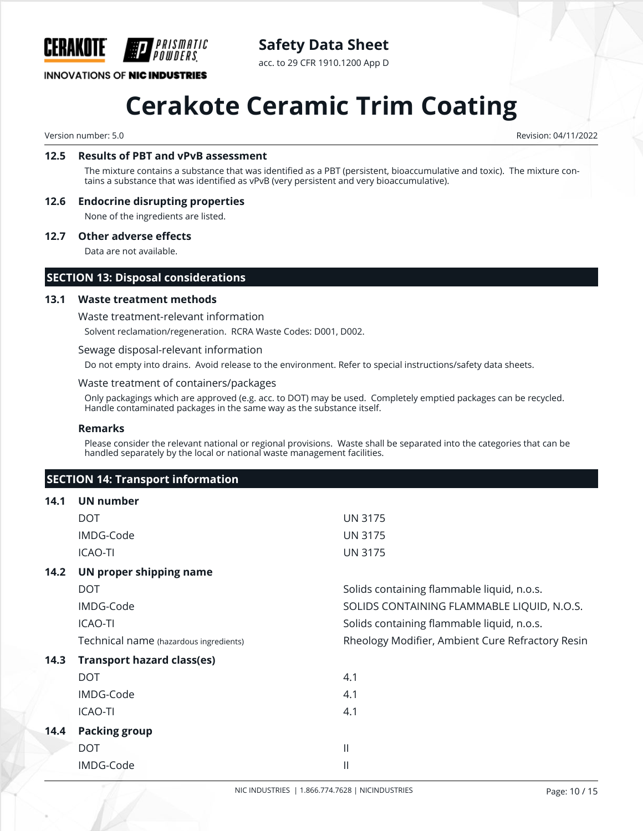

### **Safety Data Sheet**

acc. to 29 CFR 1910.1200 App D

## **Cerakote Ceramic Trim Coating**

Version number: 5.0 Revision: 04/11/2022

#### **12.5 Results of PBT and vPvB assessment**

The mixture contains a substance that was identified as a PBT (persistent, bioaccumulative and toxic). The mixture contains a substance that was identified as vPvB (very persistent and very bioaccumulative).

#### **12.6 Endocrine disrupting properties**

None of the ingredients are listed.

#### **12.7 Other adverse effects**

Data are not available.

#### **SECTION 13: Disposal considerations**

#### **13.1 Waste treatment methods**

Waste treatment-relevant information

Solvent reclamation/regeneration. RCRA Waste Codes: D001, D002.

#### Sewage disposal-relevant information

Do not empty into drains. Avoid release to the environment. Refer to special instructions/safety data sheets.

#### Waste treatment of containers/packages

Only packagings which are approved (e.g. acc. to DOT) may be used. Completely emptied packages can be recycled. Handle contaminated packages in the same way as the substance itself.

#### **Remarks**

Please consider the relevant national or regional provisions. Waste shall be separated into the categories that can be handled separately by the local or national waste management facilities.

#### **SECTION 14: Transport information**

| 14.1 | UN number                              |                                                  |
|------|----------------------------------------|--------------------------------------------------|
|      | <b>DOT</b>                             | <b>UN 3175</b>                                   |
|      | IMDG-Code                              | <b>UN 3175</b>                                   |
|      | <b>ICAO-TI</b>                         | <b>UN 3175</b>                                   |
| 14.2 | UN proper shipping name                |                                                  |
|      | <b>DOT</b>                             | Solids containing flammable liquid, n.o.s.       |
|      | IMDG-Code                              | SOLIDS CONTAINING FLAMMABLE LIQUID, N.O.S.       |
|      | <b>ICAO-TI</b>                         | Solids containing flammable liquid, n.o.s.       |
|      | Technical name (hazardous ingredients) | Rheology Modifier, Ambient Cure Refractory Resin |
| 14.3 | <b>Transport hazard class(es)</b>      |                                                  |
|      | <b>DOT</b>                             | 4.1                                              |
|      | IMDG-Code                              | 4.1                                              |
|      | <b>ICAO-TI</b>                         | 4.1                                              |
| 14.4 | <b>Packing group</b>                   |                                                  |
|      | <b>DOT</b>                             | $\mathbf{II}$                                    |
|      | IMDG-Code                              | Ш                                                |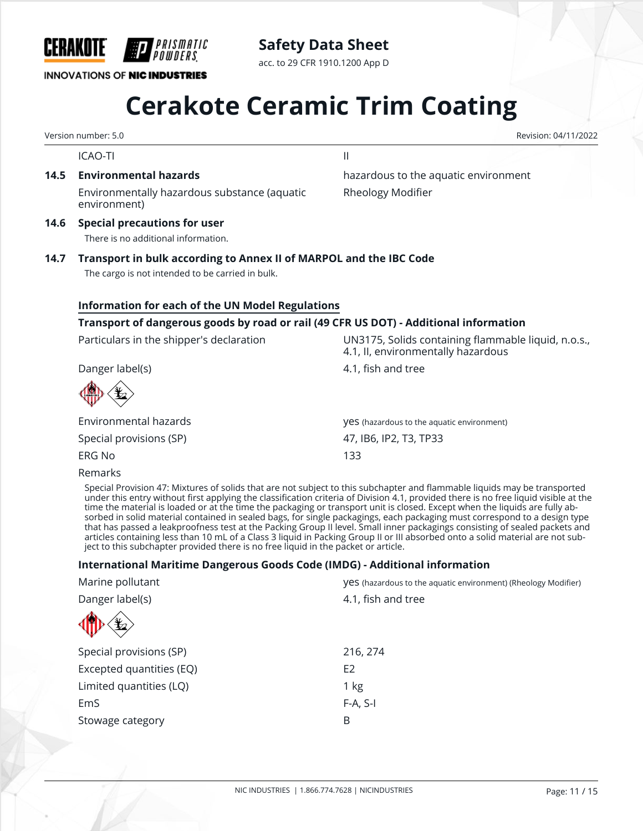

NIC INDUSTRIES | 1.866.774.7628 | NICINDUSTRIES Page: 11 / 15

| ۵٠ |  |  |
|----|--|--|

**INNOVATIONS OF NIC INDUSTRIES** 

# **Cerakote Ceramic Trim Coating**

**Safety Data Sheet** acc. to 29 CFR 1910.1200 App D

Version number: 5.0 Revision: 04/11/2022

ICAO-TI il controlle a controlle a controlle a controlle a controlle a controlle a controlle a controlle a con

Environmentally hazardous substance (aquatic environment)

*'PRISMATIC* 

**14.6 Special precautions for user**

There is no additional information.

### **14.7 Transport in bulk according to Annex II of MARPOL and the IBC Code**

The cargo is not intended to be carried in bulk.

#### **Information for each of the UN Model Regulations**

#### **Transport of dangerous goods by road or rail (49 CFR US DOT) - Additional information**

Particulars in the shipper's declaration UN3175, Solids containing flammable liquid, n.o.s.,

Danger label(s) and the control of the distribution of the 4.1, fish and tree

Environmental hazards yes (hazardous to the aquatic environment) Special provisions (SP) 47, IB6, IP2, T3, TP33 ERG No 133

#### Remarks

Special Provision 47: Mixtures of solids that are not subject to this subchapter and flammable liquids may be transported under this entry without first applying the classification criteria of Division 4.1, provided there is no free liquid visible at the time the material is loaded or at the time the packaging or transport unit is closed. Except when the liquids are fully absorbed in solid material contained in sealed bags, for single packagings, each packaging must correspond to a design type that has passed a leakproofness test at the Packing Group II level. Small inner packagings consisting of sealed packets and articles containing less than 10 mL of a Class 3 liquid in Packing Group II or III absorbed onto a solid material are not subject to this subchapter provided there is no free liquid in the packet or article.

#### **International Maritime Dangerous Goods Code (IMDG) - Additional information**

| Marine pollutant            | VeS (hazardous to the aquatic environment) (Rheology Modifier) |  |
|-----------------------------|----------------------------------------------------------------|--|
| Danger label(s)             | 4.1, fish and tree                                             |  |
| $\mathbf{\mathbf{\hat{E}}}$ |                                                                |  |
| Special provisions (SP)     | 216, 274                                                       |  |
| Excepted quantities (EQ)    | E <sub>2</sub>                                                 |  |
| Limited quantities (LQ)     | 1 kg                                                           |  |
| EmS                         | $F-A, S-I$                                                     |  |
| Stowage category            | B                                                              |  |

**14.5 Environmental hazards hazardous to the aquatic environment** Rheology Modifier

4.1, II, environmentally hazardous

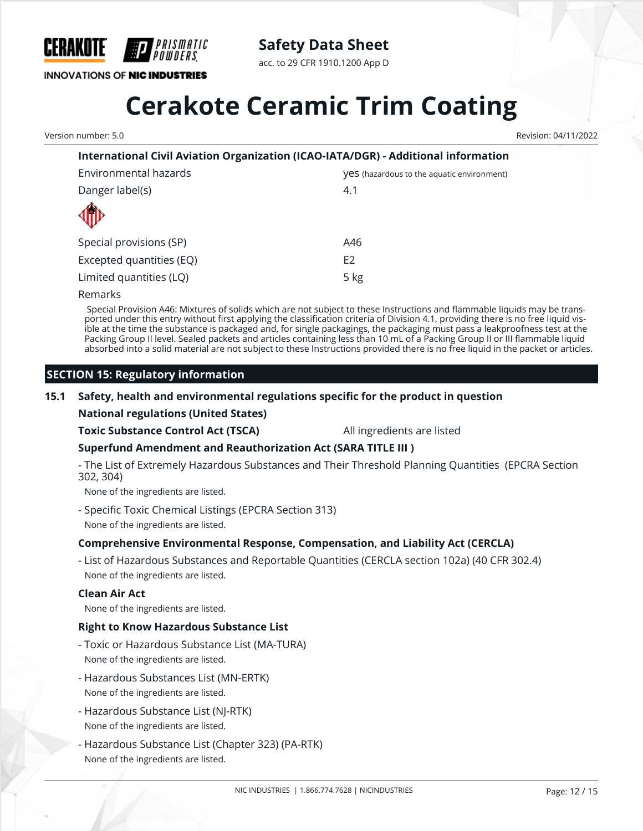

**Safety Data Sheet**

acc. to 29 CFR 1910.1200 App D

## **Cerakote Ceramic Trim Coating**

Version number: 5.0 Revision: 04/11/2022

### **International Civil Aviation Organization (ICAO-IATA/DGR) - Additional information** Environmental hazards yes (hazardous to the aquatic environment) Danger label(s) and the same state of the state of the state of the state of the state of the state of the state of the state of the state of the state of the state of the state of the state of the state of the state of th Special provisions (SP) and the set of the set of the A46 Excepted quantities (EQ) E2

Remarks

 Special Provision A46: Mixtures of solids which are not subject to these Instructions and flammable liquids may be transported under this entry without first applying the classification criteria of Division 4.1, providing there is no free liquid visible at the time the substance is packaged and, for single packagings, the packaging must pass a leakproofness test at the Packing Group II level. Sealed packets and articles containing less than 10 mL of a Packing Group II or III flammable liquid absorbed into a solid material are not subject to these Instructions provided there is no free liquid in the packet or articles.

#### **SECTION 15: Regulatory information**

#### **15.1 Safety, health and environmental regulations specific for the product in question**

**National regulations (United States)**

**Toxic Substance Control Act (TSCA)** All ingredients are listed

#### **Superfund Amendment and Reauthorization Act (SARA TITLE III )**

Limited quantities (LQ) 5 kg

- The List of Extremely Hazardous Substances and Their Threshold Planning Quantities (EPCRA Section 302, 304)

None of the ingredients are listed.

- Specific Toxic Chemical Listings (EPCRA Section 313) None of the ingredients are listed.

#### **Comprehensive Environmental Response, Compensation, and Liability Act (CERCLA)**

- List of Hazardous Substances and Reportable Quantities (CERCLA section 102a) (40 CFR 302.4) None of the ingredients are listed.

#### **Clean Air Act**

None of the ingredients are listed.

#### **Right to Know Hazardous Substance List**

- Toxic or Hazardous Substance List (MA-TURA) None of the ingredients are listed.
- Hazardous Substances List (MN-ERTK) None of the ingredients are listed.
- Hazardous Substance List (NJ-RTK) None of the ingredients are listed.
- Hazardous Substance List (Chapter 323) (PA-RTK) None of the ingredients are listed.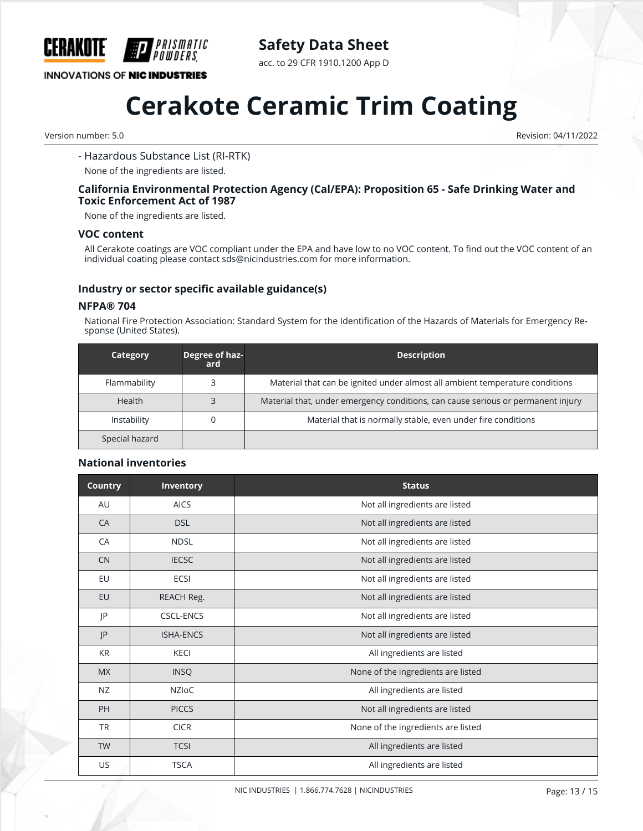

### **Safety Data Sheet**

acc. to 29 CFR 1910.1200 App D

## **Cerakote Ceramic Trim Coating**

Version number: 5.0 Revision: 04/11/2022

#### - Hazardous Substance List (RI-RTK)

None of the ingredients are listed.

#### **California Environmental Protection Agency (Cal/EPA): Proposition 65 - Safe Drinking Water and Toxic Enforcement Act of 1987**

None of the ingredients are listed.

#### **VOC content**

All Cerakote coatings are VOC compliant under the EPA and have low to no VOC content. To find out the VOC content of an individual coating please contact sds@nicindustries.com for more information.

#### **Industry or sector specific available guidance(s)**

#### **NFPA® 704**

National Fire Protection Association: Standard System for the Identification of the Hazards of Materials for Emergency Response (United States).

| Category       | Degree of haz-<br>ard | <b>Description</b>                                                               |
|----------------|-----------------------|----------------------------------------------------------------------------------|
| Flammability   |                       | Material that can be ignited under almost all ambient temperature conditions     |
| Health         |                       | Material that, under emergency conditions, can cause serious or permanent injury |
| Instability    |                       | Material that is normally stable, even under fire conditions                     |
| Special hazard |                       |                                                                                  |

#### **National inventories**

| <b>Country</b> | Inventory        | <b>Status</b>                      |
|----------------|------------------|------------------------------------|
| AU             | <b>AICS</b>      | Not all ingredients are listed     |
| CA             | <b>DSL</b>       | Not all ingredients are listed     |
| CA             | <b>NDSL</b>      | Not all ingredients are listed     |
| <b>CN</b>      | <b>IECSC</b>     | Not all ingredients are listed     |
| EU             | ECSI             | Not all ingredients are listed     |
| EU             | REACH Reg.       | Not all ingredients are listed     |
| P              | <b>CSCL-ENCS</b> | Not all ingredients are listed     |
| JP             | <b>ISHA-ENCS</b> | Not all ingredients are listed     |
| <b>KR</b>      | <b>KECI</b>      | All ingredients are listed         |
| <b>MX</b>      | <b>INSQ</b>      | None of the ingredients are listed |
| <b>NZ</b>      | <b>NZIOC</b>     | All ingredients are listed         |
| PH             | <b>PICCS</b>     | Not all ingredients are listed     |
| <b>TR</b>      | <b>CICR</b>      | None of the ingredients are listed |
| <b>TW</b>      | <b>TCSI</b>      | All ingredients are listed         |
| US             | <b>TSCA</b>      | All ingredients are listed         |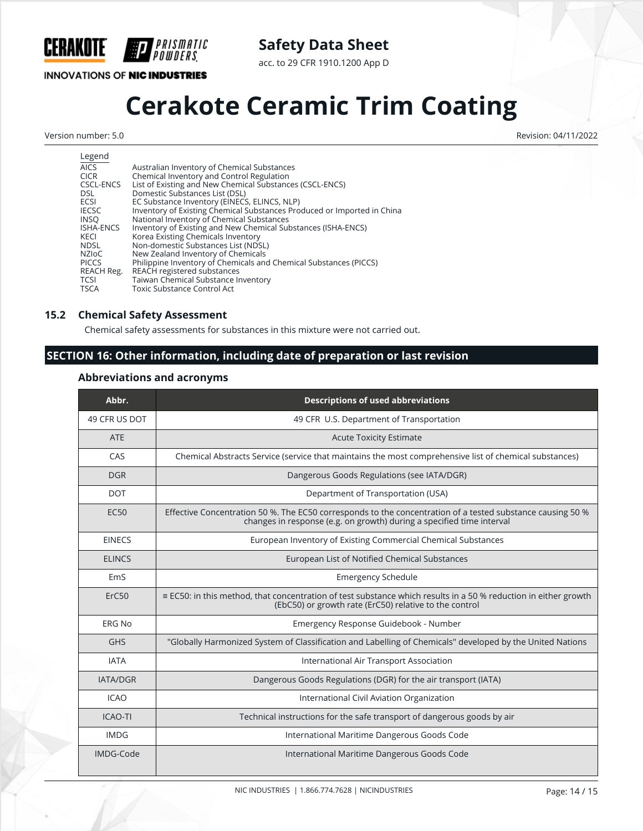**CERAKOTE** 

**INNOVATIONS OF NIC INDUSTRIES** 

*PRISMATIC<br>Powders*.

**Safety Data Sheet**

acc. to 29 CFR 1910.1200 App D

## **Cerakote Ceramic Trim Coating**

Version number: 5.0 Revision: 04/11/2022

| Legend           |                                                                         |
|------------------|-------------------------------------------------------------------------|
| <b>AICS</b>      | Australian Inventory of Chemical Substances                             |
| <b>CICR</b>      | Chemical Inventory and Control Regulation                               |
| CSCL-ENCS        | List of Existing and New Chemical Substances (CSCL-ENCS)                |
| DSL.             | Domestic Substances List (DSL)                                          |
| <b>ECSI</b>      | EC Substance Inventory (EINECS, ELINCS, NLP)                            |
| <b>IECSC</b>     | Inventory of Existing Chemical Substances Produced or Imported in China |
| <b>INSO</b>      | National Inventory of Chemical Substances                               |
| <b>ISHA-ENCS</b> | Inventory of Existing and New Chemical Substances (ISHA-ENCS)           |
| KECI             | Korea Existing Chemicals Inventory                                      |
| <b>NDSL</b>      | Non-domestic Substances List (NDSL)                                     |
| <b>NZIOC</b>     | New Zealand Inventory of Chemicals                                      |
| <b>PICCS</b>     | Philippine Inventory of Chemicals and Chemical Substances (PICCS)       |
| REACH Reg.       | REACH registered substances                                             |
| <b>TCSI</b>      | Taiwan Chemical Substance Inventory                                     |
| <b>TSCA</b>      | Toxic Substance Control Act                                             |
|                  |                                                                         |

#### **15.2 Chemical Safety Assessment**

Chemical safety assessments for substances in this mixture were not carried out.

#### **SECTION 16: Other information, including date of preparation or last revision**

#### **Abbreviations and acronyms**

| Abbr.            | <b>Descriptions of used abbreviations</b>                                                                                                                                           |
|------------------|-------------------------------------------------------------------------------------------------------------------------------------------------------------------------------------|
| 49 CFR US DOT    | 49 CFR U.S. Department of Transportation                                                                                                                                            |
| <b>ATE</b>       | <b>Acute Toxicity Estimate</b>                                                                                                                                                      |
| CAS              | Chemical Abstracts Service (service that maintains the most comprehensive list of chemical substances)                                                                              |
| <b>DGR</b>       | Dangerous Goods Regulations (see IATA/DGR)                                                                                                                                          |
| <b>DOT</b>       | Department of Transportation (USA)                                                                                                                                                  |
| EC <sub>50</sub> | Effective Concentration 50 %. The EC50 corresponds to the concentration of a tested substance causing 50 %<br>changes in response (e.g. on growth) during a specified time interval |
| <b>EINECS</b>    | European Inventory of Existing Commercial Chemical Substances                                                                                                                       |
| <b>ELINCS</b>    | European List of Notified Chemical Substances                                                                                                                                       |
| EmS              | <b>Emergency Schedule</b>                                                                                                                                                           |
| ErC50            | ≡ EC50: in this method, that concentration of test substance which results in a 50 % reduction in either growth<br>(EbC50) or growth rate (ErC50) relative to the control           |
| <b>ERG No</b>    | Emergency Response Guidebook - Number                                                                                                                                               |
| <b>GHS</b>       | "Globally Harmonized System of Classification and Labelling of Chemicals" developed by the United Nations                                                                           |
| <b>IATA</b>      | International Air Transport Association                                                                                                                                             |
| <b>IATA/DGR</b>  | Dangerous Goods Regulations (DGR) for the air transport (IATA)                                                                                                                      |
| <b>ICAO</b>      | International Civil Aviation Organization                                                                                                                                           |
| <b>ICAO-TI</b>   | Technical instructions for the safe transport of dangerous goods by air                                                                                                             |
| <b>IMDG</b>      | International Maritime Dangerous Goods Code                                                                                                                                         |
| IMDG-Code        | International Maritime Dangerous Goods Code                                                                                                                                         |